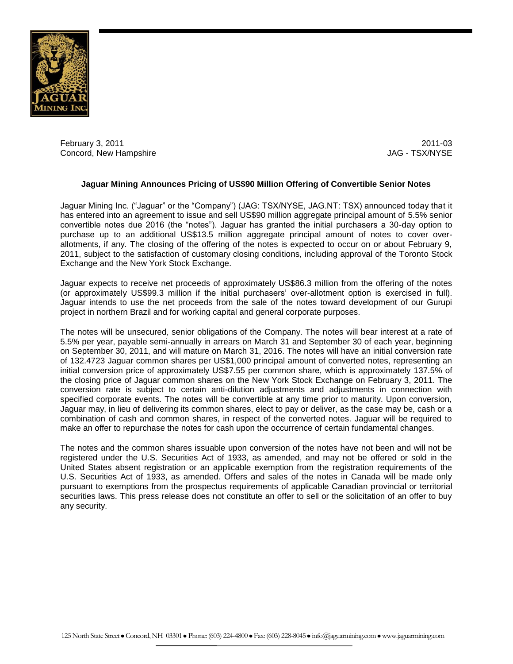

February 3, 2011 2011-03 Concord, New Hampshire

# **Jaguar Mining Announces Pricing of US\$90 Million Offering of Convertible Senior Notes**

Jaguar Mining Inc. ("Jaguar" or the "Company") (JAG: TSX/NYSE, JAG.NT: TSX) announced today that it has entered into an agreement to issue and sell US\$90 million aggregate principal amount of 5.5% senior convertible notes due 2016 (the "notes"). Jaguar has granted the initial purchasers a 30-day option to purchase up to an additional US\$13.5 million aggregate principal amount of notes to cover overallotments, if any. The closing of the offering of the notes is expected to occur on or about February 9, 2011, subject to the satisfaction of customary closing conditions, including approval of the Toronto Stock Exchange and the New York Stock Exchange.

Jaguar expects to receive net proceeds of approximately US\$86.3 million from the offering of the notes (or approximately US\$99.3 million if the initial purchasers' over-allotment option is exercised in full). Jaguar intends to use the net proceeds from the sale of the notes toward development of our Gurupi project in northern Brazil and for working capital and general corporate purposes.

The notes will be unsecured, senior obligations of the Company. The notes will bear interest at a rate of 5.5% per year, payable semi-annually in arrears on March 31 and September 30 of each year, beginning on September 30, 2011, and will mature on March 31, 2016. The notes will have an initial conversion rate of 132.4723 Jaguar common shares per US\$1,000 principal amount of converted notes, representing an initial conversion price of approximately US\$7.55 per common share, which is approximately 137.5% of the closing price of Jaguar common shares on the New York Stock Exchange on February 3, 2011. The conversion rate is subject to certain anti-dilution adjustments and adjustments in connection with specified corporate events. The notes will be convertible at any time prior to maturity. Upon conversion, Jaguar may, in lieu of delivering its common shares, elect to pay or deliver, as the case may be, cash or a combination of cash and common shares, in respect of the converted notes. Jaguar will be required to make an offer to repurchase the notes for cash upon the occurrence of certain fundamental changes.

The notes and the common shares issuable upon conversion of the notes have not been and will not be registered under the U.S. Securities Act of 1933, as amended, and may not be offered or sold in the United States absent registration or an applicable exemption from the registration requirements of the U.S. Securities Act of 1933, as amended. Offers and sales of the notes in Canada will be made only pursuant to exemptions from the prospectus requirements of applicable Canadian provincial or territorial securities laws. This press release does not constitute an offer to sell or the solicitation of an offer to buy any security.